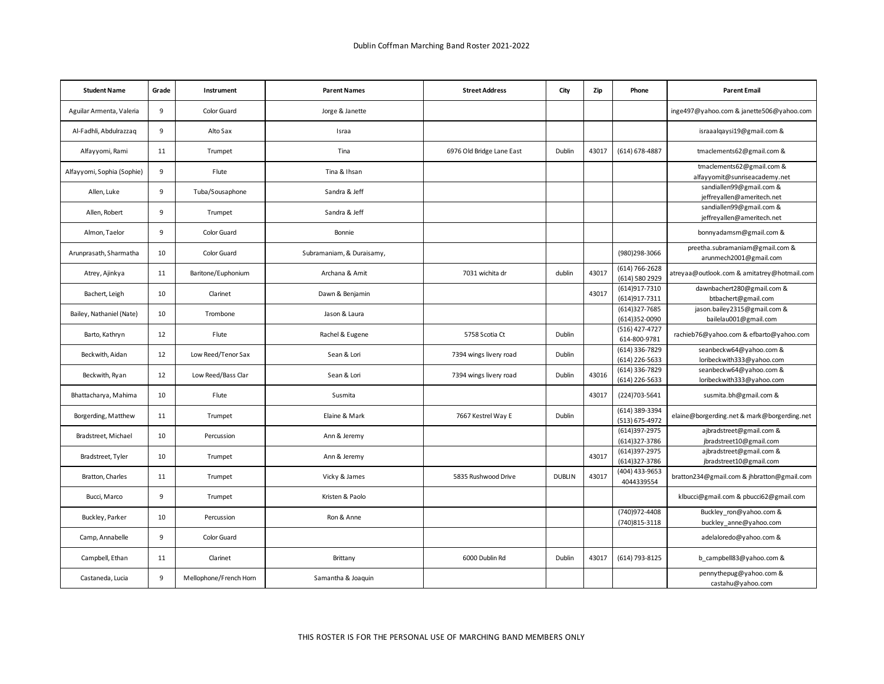| <b>Student Name</b>        | Grade | Instrument            | <b>Parent Names</b>       | <b>Street Address</b>     | City          | Zip   | Phone                            | <b>Parent Email</b>                                        |
|----------------------------|-------|-----------------------|---------------------------|---------------------------|---------------|-------|----------------------------------|------------------------------------------------------------|
| Aguilar Armenta, Valeria   | 9     | Color Guard           | Jorge & Janette           |                           |               |       |                                  | inge497@yahoo.com & janette506@yahoo.com                   |
| Al-Fadhli, Abdulrazzaq     | 9     | Alto Sax              | Israa                     |                           |               |       |                                  | israaalqaysi19@gmail.com &                                 |
| Alfayyomi, Rami            | 11    | Trumpet               | Tina                      | 6976 Old Bridge Lane East | Dublin        | 43017 | (614) 678-4887                   | tmaclements62@gmail.com &                                  |
| Alfayyomi, Sophia (Sophie) | 9     | Flute                 | Tina & Ihsan              |                           |               |       |                                  | tmaclements62@gmail.com &<br>alfayyomit@sunriseacademy.net |
| Allen, Luke                | 9     | Tuba/Sousaphone       | Sandra & Jeff             |                           |               |       |                                  | sandiallen99@gmail.com &<br>jeffreyallen@ameritech.net     |
| Allen, Robert              | 9     | Trumpet               | Sandra & Jeff             |                           |               |       |                                  | sandiallen99@gmail.com &<br>jeffreyallen@ameritech.net     |
| Almon, Taelor              | 9     | Color Guard           | Bonnie                    |                           |               |       |                                  | bonnyadamsrn@gmail.com &                                   |
| Arunprasath, Sharmatha     | 10    | Color Guard           | Subramaniam, & Duraisamy, |                           |               |       | (980)298-3066                    | preetha.subramaniam@gmail.com &<br>arunmech2001@gmail.com  |
| Atrey, Ajinkya             | 11    | Baritone/Euphonium    | Archana & Amit            | 7031 wichita dr           | dublin        | 43017 | (614) 766-2628<br>(614) 580 2929 | atreyaa@outlook.com & amitatrey@hotmail.com                |
| Bachert, Leigh             | 10    | Clarinet              | Dawn & Benjamin           |                           |               | 43017 | (614) 917-7310<br>(614) 917-7311 | dawnbachert280@gmail.com &<br>btbachert@gmail.com          |
| Bailey, Nathaniel (Nate)   | 10    | Trombone              | Jason & Laura             |                           |               |       | (614)327-7685<br>(614)352-0090   | jason.bailey2315@gmail.com &<br>bailelau001@gmail.com      |
| Barto, Kathryn             | 12    | Flute                 | Rachel & Eugene           | 5758 Scotia Ct            | Dublin        |       | (516) 427-4727<br>614-800-9781   | rachieb76@yahoo.com & efbarto@yahoo.com                    |
| Beckwith, Aidan            | 12    | Low Reed/Tenor Sax    | Sean & Lori               | 7394 wings livery road    | Dublin        |       | (614) 336-7829<br>(614) 226-5633 | seanbeckw64@yahoo.com &<br>loribeckwith333@yahoo.com       |
| Beckwith, Ryan             | 12    | Low Reed/Bass Clar    | Sean & Lori               | 7394 wings livery road    | Dublin        | 43016 | (614) 336-7829<br>(614) 226-5633 | seanbeckw64@yahoo.com &<br>loribeckwith333@yahoo.com       |
| Bhattacharya, Mahima       | 10    | Flute                 | Susmita                   |                           |               | 43017 | (224)703-5641                    | susmita.bh@gmail.com &                                     |
| Borgerding, Matthew        | 11    | Trumpet               | Elaine & Mark             | 7667 Kestrel Way E        | Dublin        |       | (614) 389-3394<br>(513) 675-4972 | elaine@borgerding.net & mark@borgerding.net                |
| Bradstreet, Michael        | 10    | Percussion            | Ann & Jeremy              |                           |               |       | (614)397-2975<br>(614)327-3786   | ajbradstreet@gmail.com &<br>jbradstreet10@gmail.com        |
| Bradstreet, Tyler          | 10    | Trumpet               | Ann & Jeremy              |                           |               | 43017 | (614)397-2975<br>(614)327-3786   | ajbradstreet@gmail.com &<br>jbradstreet10@gmail.com        |
| Bratton, Charles           | 11    | Trumpet               | Vicky & James             | 5835 Rushwood Drive       | <b>DUBLIN</b> | 43017 | (404) 433-9653<br>4044339554     | bratton234@gmail.com & jhbratton@gmail.com                 |
| Bucci, Marco               | 9     | Trumpet               | Kristen & Paolo           |                           |               |       |                                  | klbucci@gmail.com & pbucci62@gmail.com                     |
| Buckley, Parker            | 10    | Percussion            | Ron & Anne                |                           |               |       | (740)972-4408<br>(740)815-3118   | Buckley_ron@yahoo.com &<br>buckley anne@yahoo.com          |
| Camp, Annabelle            | 9     | Color Guard           |                           |                           |               |       |                                  | adelaloredo@yahoo.com &                                    |
| Campbell, Ethan            | 11    | Clarinet              | Brittany                  | 6000 Dublin Rd            | Dublin        | 43017 | (614) 793-8125                   | b campbell83@yahoo.com &                                   |
| Castaneda, Lucia           | 9     | Mellophone/French Hom | Samantha & Joaquin        |                           |               |       |                                  | pennythepug@yahoo.com &<br>castahu@yahoo.com               |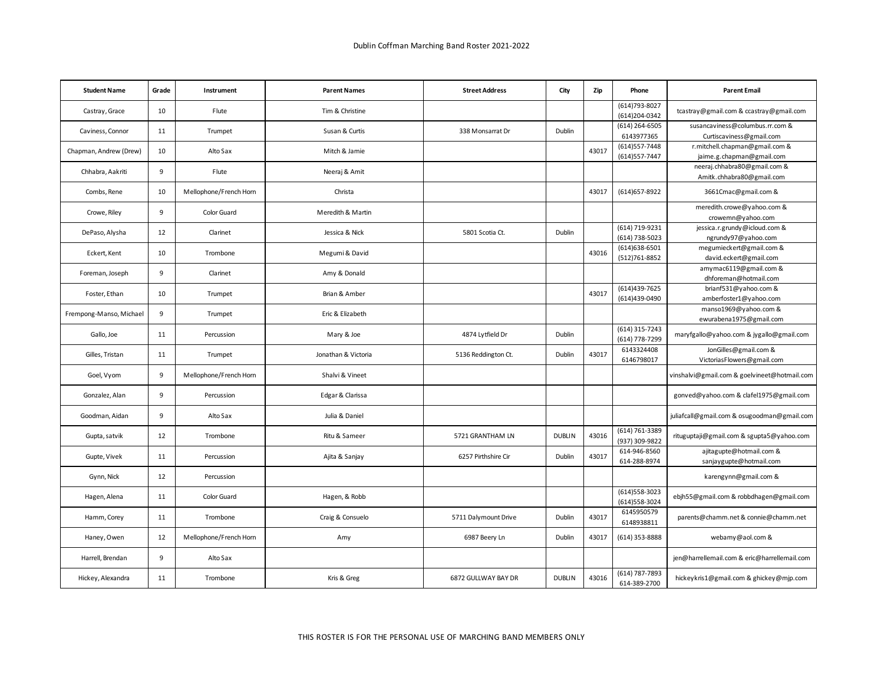| <b>Student Name</b>     | Grade | Instrument             | <b>Parent Names</b> | <b>Street Address</b> | City          | Zip   | Phone                            | <b>Parent Email</b>                                         |
|-------------------------|-------|------------------------|---------------------|-----------------------|---------------|-------|----------------------------------|-------------------------------------------------------------|
| Castray, Grace          | 10    | Flute                  | Tim & Christine     |                       |               |       | (614) 793-8027<br>(614)204-0342  | tcastray@gmail.com & ccastray@gmail.com                     |
| Caviness, Connor        | 11    | Trumpet                | Susan & Curtis      | 338 Monsarrat Dr      | Dublin        |       | (614) 264-6505<br>6143977365     | susancaviness@columbus.rr.com &<br>Curtiscaviness@gmail.com |
|                         |       |                        |                     |                       |               |       | (614) 557-7448                   | r.mitchell.chapman@gmail.com &                              |
| Chapman, Andrew (Drew)  | 10    | Alto Sax               | Mitch & Jamie       |                       |               | 43017 | (614) 557-7447                   | jaime.g.chapman@gmail.com                                   |
| Chhabra, Aakriti        | 9     | Flute                  | Neeraj & Amit       |                       |               |       |                                  | neeraj.chhabra80@gmail.com &<br>Amitk.chhabra80@gmail.com   |
| Combs, Rene             | 10    | Mellophone/French Hom  | Christa             |                       |               | 43017 | (614) 657-8922                   | 3661Cmac@gmail.com &                                        |
| Crowe, Riley            | 9     | Color Guard            | Meredith & Martin   |                       |               |       |                                  | meredith.crowe@yahoo.com &<br>crowemn@yahoo.com             |
| DePaso, Alysha          | 12    | Clarinet               | Jessica & Nick      | 5801 Scotia Ct.       | Dublin        |       | (614) 719-9231<br>(614) 738-5023 | jessica.r.grundy@icloud.com &<br>ngrundy97@yahoo.com        |
|                         |       |                        |                     |                       |               |       | (614) 638-6501                   | megumieckert@gmail.com &                                    |
| Eckert, Kent            | 10    | Trombone               | Megumi & David      |                       |               | 43016 | (512) 761-8852                   | david.eckert@gmail.com                                      |
|                         |       |                        |                     |                       |               |       |                                  | amymac6119@gmail.com &                                      |
| Foreman, Joseph         | 9     | Clarinet               | Amy & Donald        |                       |               |       |                                  | dhforeman@hotmail.com                                       |
| Foster, Ethan           | 10    | Trumpet                | Brian & Amber       |                       |               | 43017 | (614)439-7625                    | brianf531@yahoo.com &                                       |
|                         |       |                        |                     |                       |               |       | (614)439-0490                    | amberfoster1@yahoo.com                                      |
| Frempong-Manso, Michael | 9     | Trumpet                | Eric & Elizabeth    |                       |               |       |                                  | manso1969@yahoo.com &                                       |
|                         |       |                        |                     |                       |               |       |                                  | ewurabena1975@gmail.com                                     |
| Gallo, Joe              | 11    | Percussion             | Mary & Joe          | 4874 Lytfield Dr      | Dublin        |       | (614) 315-7243<br>(614) 778-7299 | maryfgallo@yahoo.com & jygallo@gmail.com                    |
| Gilles, Tristan         | 11    | Trumpet                | Jonathan & Victoria | 5136 Reddington Ct.   | Dublin        | 43017 | 6143324408<br>6146798017         | JonGilles@gmail.com &<br>VictoriasFlowers@gmail.com         |
| Goel, Vyom              | 9     | Mellophone/French Horn | Shalvi & Vineet     |                       |               |       |                                  | vinshalvi@gmail.com & goelvineet@hotmail.com                |
| Gonzalez, Alan          | 9     | Percussion             | Edgar & Clarissa    |                       |               |       |                                  | gonved@yahoo.com & clafel1975@gmail.com                     |
| Goodman, Aidan          | 9     | Alto Sax               | Julia & Daniel      |                       |               |       |                                  | juliafcall@gmail.com & osugoodman@gmail.com                 |
| Gupta, satvik           | 12    | Trombone               | Ritu & Sameer       | 5721 GRANTHAM LN      | <b>DUBLIN</b> | 43016 | (614) 761-3389<br>(937) 309-9822 | rituguptaji@gmail.com & sgupta5@yahoo.com                   |
| Gupte, Vivek            | 11    | Percussion             | Ajita & Sanjay      | 6257 Pirthshire Cir   | Dublin        | 43017 | 614-946-8560<br>614-288-8974     | ajitagupte@hotmail.com &<br>sanjaygupte@hotmail.com         |
| Gynn, Nick              | 12    | Percussion             |                     |                       |               |       |                                  | karengynn@gmail.com &                                       |
| Hagen, Alena            | 11    | Color Guard            | Hagen, & Robb       |                       |               |       | (614) 558-3023<br>(614) 558-3024 | ebjh55@gmail.com & robbdhagen@gmail.com                     |
| Hamm, Corey             | 11    | Trombone               | Craig & Consuelo    | 5711 Dalymount Drive  | Dublin        | 43017 | 6145950579<br>6148938811         | parents@chamm.net & connie@chamm.net                        |
| Haney, Owen             | 12    | Mellophone/French Hom  | Amy                 | 6987 Beery Ln         | Dublin        | 43017 | (614) 353-8888                   | webamy@aol.com &                                            |
| Harrell, Brendan        | 9     | Alto Sax               |                     |                       |               |       |                                  | jen@harrellemail.com & eric@harrellemail.com                |
| Hickey, Alexandra       | 11    | Trombone               | Kris & Greg         | 6872 GULLWAY BAY DR   | <b>DUBLIN</b> | 43016 | (614) 787-7893<br>614-389-2700   | hickeykris1@gmail.com & ghickey@mjp.com                     |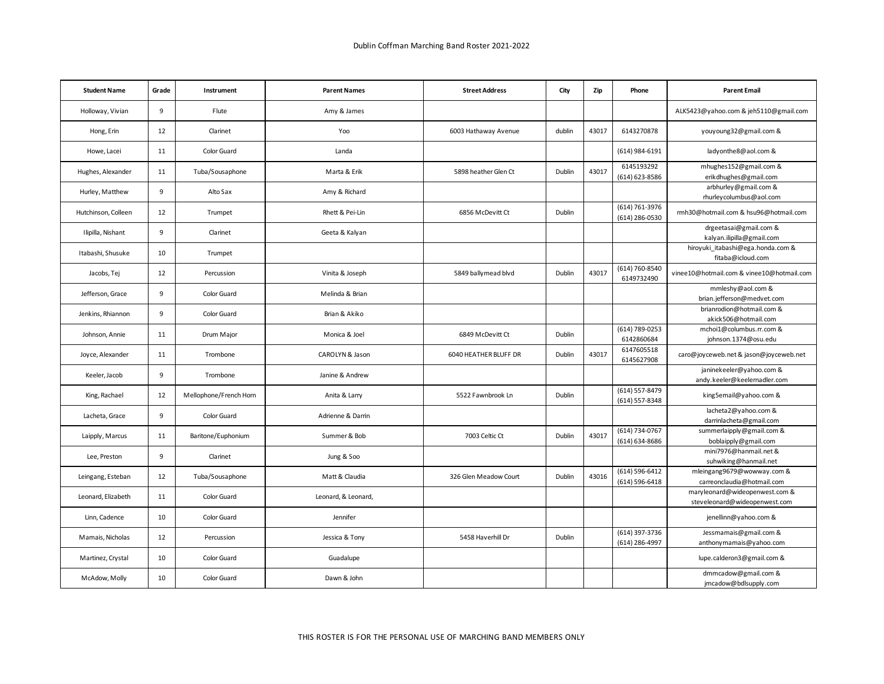| <b>Student Name</b> | Grade | Instrument            | <b>Parent Names</b> | <b>Street Address</b> | City   | Zip   | Phone                            | <b>Parent Email</b>                                             |
|---------------------|-------|-----------------------|---------------------|-----------------------|--------|-------|----------------------------------|-----------------------------------------------------------------|
| Holloway, Vivian    | 9     | Flute                 | Amy & James         |                       |        |       |                                  | ALK5423@yahoo.com & jeh5110@gmail.com                           |
| Hong, Erin          | 12    | Clarinet              | Yoo                 | 6003 Hathaway Avenue  | dublin | 43017 | 6143270878                       | youyoung32@gmail.com &                                          |
| Howe, Lacei         | 11    | Color Guard           | Landa               |                       |        |       | (614) 984-6191                   | ladyonthe8@aol.com &                                            |
| Hughes, Alexander   | 11    | Tuba/Sousaphone       | Marta & Erik        | 5898 heather Glen Ct  | Dublin | 43017 | 6145193292<br>(614) 623-8586     | mhughes152@gmail.com &<br>erikdhughes@gmail.com                 |
| Hurley, Matthew     | 9     | Alto Sax              | Amy & Richard       |                       |        |       |                                  | arbhurley@gmail.com &<br>rhurleycolumbus@aol.com                |
| Hutchinson, Colleen | 12    | Trumpet               | Rhett & Pei-Lin     | 6856 McDevitt Ct      | Dublin |       | (614) 761-3976<br>(614) 286-0530 | rmh30@hotmail.com & hsu96@hotmail.com                           |
| Ilipilla, Nishant   | 9     | Clarinet              | Geeta & Kalyan      |                       |        |       |                                  | drgeetasai@gmail.com &<br>kalyan.ilipilla@gmail.com             |
| Itabashi, Shusuke   | 10    | Trumpet               |                     |                       |        |       |                                  | hiroyuki itabashi@ega.honda.com &                               |
| Jacobs, Tej         | 12    | Percussion            | Vinita & Joseph     | 5849 ballymead blvd   | Dublin | 43017 | (614) 760-8540<br>6149732490     | fitaba@icloud.com<br>vinee10@hotmail.com & vinee10@hotmail.com  |
| Jefferson, Grace    | 9     | Color Guard           | Melinda & Brian     |                       |        |       |                                  | mmleshy@aol.com &                                               |
|                     |       |                       |                     |                       |        |       |                                  | brian.jefferson@medvet.com                                      |
| Jenkins, Rhiannon   | 9     | Color Guard           | Brian & Akiko       |                       |        |       |                                  | brianrodion@hotmail.com &<br>akick506@hotmail.com               |
|                     |       |                       |                     |                       |        |       | (614) 789-0253                   | mchoi1@columbus.rr.com &                                        |
| Johnson, Annie      | 11    | Drum Major            | Monica & Joel       | 6849 McDevitt Ct      | Dublin |       | 6142860684                       | johnson.1374@osu.edu                                            |
| Joyce, Alexander    | 11    | Trombone              | CAROLYN & Jason     | 6040 HEATHER BLUFF DR | Dublin | 43017 | 6147605518<br>6145627908         | caro@joyceweb.net & jason@joyceweb.net                          |
| Keeler, Jacob       | 9     | Trombone              | Janine & Andrew     |                       |        |       |                                  | janinekeeler@yahoo.com &<br>andy.keeler@keelernadler.com        |
| King, Rachael       | 12    | Mellophone/French Hom | Anita & Larry       | 5522 Fawnbrook Ln     | Dublin |       | (614) 557-8479<br>(614) 557-8348 | king5email@yahoo.com &                                          |
| Lacheta, Grace      | 9     | Color Guard           | Adrienne & Darrin   |                       |        |       |                                  | lacheta2@yahoo.com &<br>darrinlacheta@gmail.com                 |
| Laipply, Marcus     | 11    | Baritone/Euphonium    | Summer & Bob        | 7003 Celtic Ct        | Dublin | 43017 | (614) 734-0767<br>(614) 634-8686 | summerlaipply@gmail.com &<br>boblaipply@gmail.com               |
| Lee, Preston        | 9     | Clarinet              | Jung & Soo          |                       |        |       |                                  | mini7976@hanmail.net &                                          |
|                     |       |                       |                     |                       |        |       |                                  | suhwiking@hanmail.net                                           |
| Leingang, Esteban   | 12    | Tuba/Sousaphone       | Matt & Claudia      | 326 Glen Meadow Court | Dublin | 43016 | (614) 596-6412<br>(614) 596-6418 | mleingang9679@wowway.com &<br>carreonclaudia@hotmail.com        |
| Leonard, Elizabeth  | 11    | Color Guard           | Leonard, & Leonard, |                       |        |       |                                  | maryleonard@wideopenwest.com &<br>steveleonard@wideopenwest.com |
| Linn, Cadence       | 10    | Color Guard           | Jennifer            |                       |        |       |                                  | jenellinn@yahoo.com &                                           |
| Mamais, Nicholas    | 12    | Percussion            | Jessica & Tony      | 5458 Haverhill Dr     | Dublin |       | (614) 397-3736<br>(614) 286-4997 | Jessmamais@gmail.com &<br>anthonymamais@yahoo.com               |
| Martinez, Crystal   | 10    | Color Guard           | Guadalupe           |                       |        |       |                                  | lupe.calderon3@gmail.com &                                      |
| McAdow, Molly       | 10    | Color Guard           | Dawn & John         |                       |        |       |                                  | dmmcadow@gmail.com &<br>jmcadow@bdlsupply.com                   |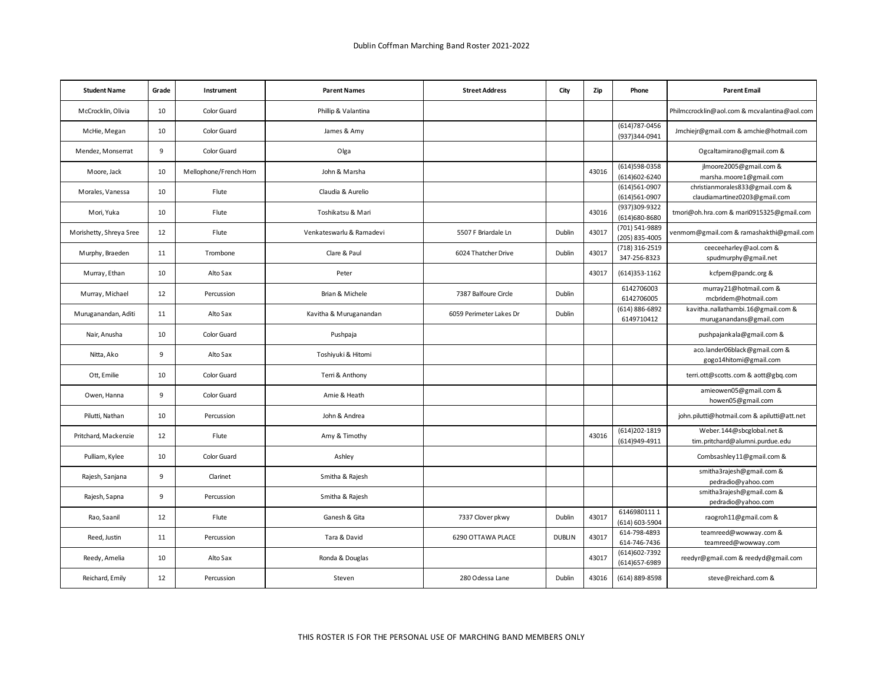| <b>Student Name</b>     | Grade | Instrument            | <b>Parent Names</b>      | <b>Street Address</b>   | City          | Zip   | Phone                            | <b>Parent Email</b>                                              |
|-------------------------|-------|-----------------------|--------------------------|-------------------------|---------------|-------|----------------------------------|------------------------------------------------------------------|
| McCrocklin, Olivia      | 10    | Color Guard           | Phillip & Valantina      |                         |               |       |                                  | Philmccrocklin@aol.com & mcvalantina@aol.com                     |
| McHie, Megan            | 10    | Color Guard           | James & Amy              |                         |               |       | (614) 787-0456<br>(937)344-0941  | Jmchiejr@gmail.com & amchie@hotmail.com                          |
| Mendez, Monserrat       | 9     | Color Guard           | Olga                     |                         |               |       |                                  | Ogcaltamirano@gmail.com &                                        |
| Moore, Jack             | 10    | Mellophone/French Hom | John & Marsha            |                         |               | 43016 | (614)598-0358<br>(614)602-6240   | jlmoore2005@gmail.com &<br>marsha.moore1@gmail.com               |
| Morales, Vanessa        | 10    | Flute                 | Claudia & Aurelio        |                         |               |       | (614)561-0907<br>(614)561-0907   | christianmorales833@gmail.com &<br>claudiamartinez0203@gmail.com |
| Mori, Yuka              | 10    | Flute                 | Toshikatsu & Mari        |                         |               | 43016 | (937)309-9322<br>(614)680-8680   | tmori@oh.hra.com & mari0915325@gmail.com                         |
| Morishetty, Shreya Sree | 12    | Flute                 | Venkateswarlu & Ramadevi | 5507 F Briardale Ln     | Dublin        | 43017 | (701) 541-9889<br>(205) 835-4005 | renmom@gmail.com & ramashakthi@gmail.com                         |
| Murphy, Braeden         | 11    | Trombone              | Clare & Paul             | 6024 Thatcher Drive     | Dublin        | 43017 | (718) 316-2519<br>347-256-8323   | ceeceeharley@aol.com &<br>spudmurphy@gmail.net                   |
| Murray, Ethan           | 10    | Alto Sax              | Peter                    |                         |               | 43017 | (614) 353-1162                   | kcfpem@pandc.org &                                               |
| Murray, Michael         | 12    | Percussion            | Brian & Michele          | 7387 Balfoure Circle    | Dublin        |       | 6142706003<br>6142706005         | murray21@hotmail.com &<br>mcbridem@hotmail.com                   |
| Muruganandan, Aditi     | 11    | Alto Sax              | Kavitha & Muruganandan   | 6059 Perimeter Lakes Dr | Dublin        |       | (614) 886-6892<br>6149710412     | kavitha.nallathambi.16@gmail.com &<br>muruganandans@gmail.com    |
| Nair, Anusha            | 10    | Color Guard           | Pushpaja                 |                         |               |       |                                  | pushpajankala@gmail.com &                                        |
| Nitta, Ako              | 9     | Alto Sax              | Toshiyuki & Hitomi       |                         |               |       |                                  | aco.lander06black@gmail.com &<br>gogo14hitomi@gmail.com          |
| Ott, Emilie             | 10    | Color Guard           | Terri & Anthony          |                         |               |       |                                  | terri.ott@scotts.com & aott@gbq.com                              |
| Owen, Hanna             | 9     | Color Guard           | Amie & Heath             |                         |               |       |                                  | amieowen05@gmail.com &<br>howen05@gmail.com                      |
| Pilutti, Nathan         | 10    | Percussion            | John & Andrea            |                         |               |       |                                  | john.pilutti@hotmail.com & apilutti@att.net                      |
| Pritchard, Mackenzie    | 12    | Flute                 | Amy & Timothy            |                         |               | 43016 | (614) 202-1819<br>(614)949-4911  | Weber.144@sbcglobal.net &<br>tim.pritchard@alumni.purdue.edu     |
| Pulliam, Kylee          | 10    | Color Guard           | Ashley                   |                         |               |       |                                  | Combsashley11@gmail.com &                                        |
| Rajesh, Sanjana         | 9     | Clarinet              | Smitha & Rajesh          |                         |               |       |                                  | smitha3rajesh@gmail.com &<br>pedradio@yahoo.com                  |
| Rajesh, Sapna           | 9     | Percussion            | Smitha & Rajesh          |                         |               |       |                                  | smitha3rajesh@gmail.com &<br>pedradio@yahoo.com                  |
| Rao, Saanil             | 12    | Flute                 | Ganesh & Gita            | 7337 Clover pkwy        | Dublin        | 43017 | 61469801111<br>(614) 603-5904    | raogroh11@gmail.com &                                            |
| Reed, Justin            | 11    | Percussion            | Tara & David             | 6290 OTTAWA PLACE       | <b>DUBLIN</b> | 43017 | 614-798-4893<br>614-746-7436     | teamreed@wowway.com &<br>teamreed@wowway.com                     |
| Reedy, Amelia           | 10    | Alto Sax              | Ronda & Douglas          |                         |               | 43017 | (614) 602-7392<br>(614) 657-6989 | reedyr@gmail.com & reedyd@gmail.com                              |
| Reichard, Emily         | 12    | Percussion            | Steven                   | 280 Odessa Lane         | Dublin        | 43016 | (614) 889-8598                   | steve@reichard.com &                                             |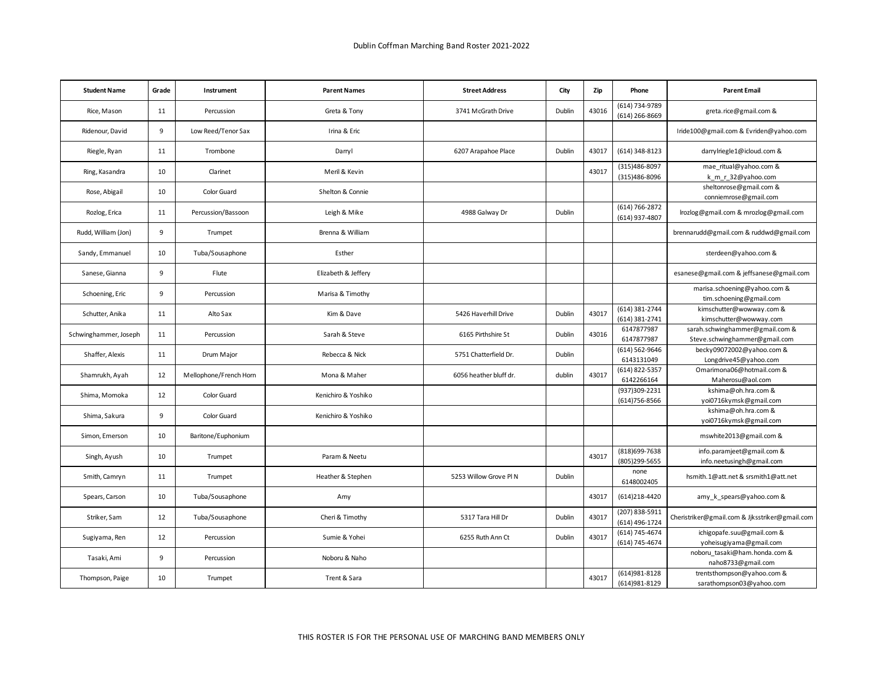| <b>Student Name</b>   | Grade | Instrument             | <b>Parent Names</b> | <b>Street Address</b>  | City   | Zip   | Phone                            | <b>Parent Email</b>                                        |
|-----------------------|-------|------------------------|---------------------|------------------------|--------|-------|----------------------------------|------------------------------------------------------------|
| Rice, Mason           | 11    | Percussion             | Greta & Tony        | 3741 McGrath Drive     | Dublin | 43016 | (614) 734-9789<br>(614) 266-8669 | greta.rice@gmail.com &                                     |
| Ridenour, David       | 9     | Low Reed/Tenor Sax     | Irina & Eric        |                        |        |       |                                  | Iride100@gmail.com & Evriden@yahoo.com                     |
| Riegle, Ryan          | 11    | Trombone               | Darryl              | 6207 Arapahoe Place    | Dublin | 43017 | (614) 348-8123                   | darrylriegle1@icloud.com &                                 |
| Ring, Kasandra        | 10    | Clarinet               | Meril & Kevin       |                        |        | 43017 | (315)486-8097<br>(315)486-8096   | mae ritual@yahoo.com &<br>k m r 32@yahoo.com               |
| Rose, Abigail         | 10    | Color Guard            | Shelton & Connie    |                        |        |       |                                  | sheltonrose@gmail.com &<br>conniemrose@gmail.com           |
| Rozlog, Erica         | 11    | Percussion/Bassoon     | Leigh & Mike        | 4988 Galway Dr         | Dublin |       | (614) 766-2872<br>(614) 937-4807 | lrozlog@gmail.com & mrozlog@gmail.com                      |
| Rudd, William (Jon)   | 9     | Trumpet                | Brenna & William    |                        |        |       |                                  | brennarudd@gmail.com & ruddwd@gmail.com                    |
| Sandy, Emmanuel       | 10    | Tuba/Sousaphone        | Esther              |                        |        |       |                                  | sterdeen@yahoo.com &                                       |
| Sanese, Gianna        | 9     | Flute                  | Elizabeth & Jeffery |                        |        |       |                                  | esanese@gmail.com & jeffsanese@gmail.com                   |
| Schoening, Eric       | 9     | Percussion             | Marisa & Timothy    |                        |        |       |                                  | marisa.schoening@yahoo.com &<br>tim.schoening@gmail.com    |
|                       |       |                        |                     |                        |        |       | (614) 381-2744                   | kimschutter@wowway.com &                                   |
| Schutter, Anika       | 11    | Alto Sax               | Kim & Dave          | 5426 Haverhill Drive   | Dublin | 43017 | (614) 381-2741                   | kimschutter@wowway.com                                     |
| Schwinghammer, Joseph | 11    | Percussion             | Sarah & Steve       | 6165 Pirthshire St     | Dublin | 43016 | 6147877987                       | sarah.schwinghammer@gmail.com &                            |
|                       |       |                        |                     |                        |        |       | 6147877987<br>(614) 562-9646     | Steve.schwinghammer@gmail.com<br>becky09072002@yahoo.com & |
| Shaffer, Alexis       | 11    | Drum Major             | Rebecca & Nick      | 5751 Chatterfield Dr.  | Dublin |       | 6143131049                       | Longdrive45@yahoo.com                                      |
| Shamrukh, Ayah        | 12    | Mellophone/French Horn | Mona & Maher        | 6056 heather bluff dr. | dublin | 43017 | (614) 822-5357<br>6142266164     | Omarimona06@hotmail.com &<br>Maherosu@aol.com              |
|                       |       |                        |                     |                        |        |       | (937)309-2231                    | kshima@oh.hra.com &                                        |
| Shima, Momoka         | 12    | Color Guard            | Kenichiro & Yoshiko |                        |        |       | (614) 756-8566                   | yoi0716kymsk@gmail.com                                     |
| Shima, Sakura         | 9     | Color Guard            | Kenichiro & Yoshiko |                        |        |       |                                  | kshima@oh.hra.com &                                        |
|                       |       |                        |                     |                        |        |       |                                  | yoi0716kymsk@gmail.com                                     |
| Simon, Emerson        | 10    | Baritone/Euphonium     |                     |                        |        |       |                                  | mswhite2013@gmail.com &                                    |
| Singh, Ayush          | 10    | Trumpet                | Param & Neetu       |                        |        | 43017 | (818) 699-7638<br>(805)299-5655  | info.paramjeet@gmail.com &<br>info.neetusingh@gmail.com    |
| Smith, Camryn         | 11    | Trumpet                | Heather & Stephen   | 5253 Willow Grove Pl N | Dublin |       | none<br>6148002405               | hsmith.1@att.net & srsmith1@att.net                        |
| Spears, Carson        | 10    | Tuba/Sousaphone        | Amy                 |                        |        | 43017 | (614)218-4420                    | amy k spears@yahoo.com &                                   |
| Striker, Sam          | 12    | Tuba/Sousaphone        | Cheri & Timothy     | 5317 Tara Hill Dr      | Dublin | 43017 | (207) 838-5911<br>(614) 496-1724 | Cheristriker@gmail.com & Jjksstriker@gmail.com             |
| Sugiyama, Ren         | 12    | Percussion             | Sumie & Yohei       | 6255 Ruth Ann Ct       | Dublin | 43017 | (614) 745-4674                   | ichigopafe.suu@gmail.com &                                 |
|                       |       |                        |                     |                        |        |       | (614) 745-4674                   | yoheisugiyama@gmail.com                                    |
| Tasaki, Ami           | 9     | Percussion             | Noboru & Naho       |                        |        |       |                                  | noboru tasaki@ham.honda.com &<br>naho8733@gmail.com        |
|                       | 10    |                        | Trent & Sara        |                        |        | 43017 | (614) 981-8128                   | trentsthompson@yahoo.com &                                 |
| Thompson, Paige       |       | Trumpet                |                     |                        |        |       | (614) 981-8129                   | sarathompson03@yahoo.com                                   |